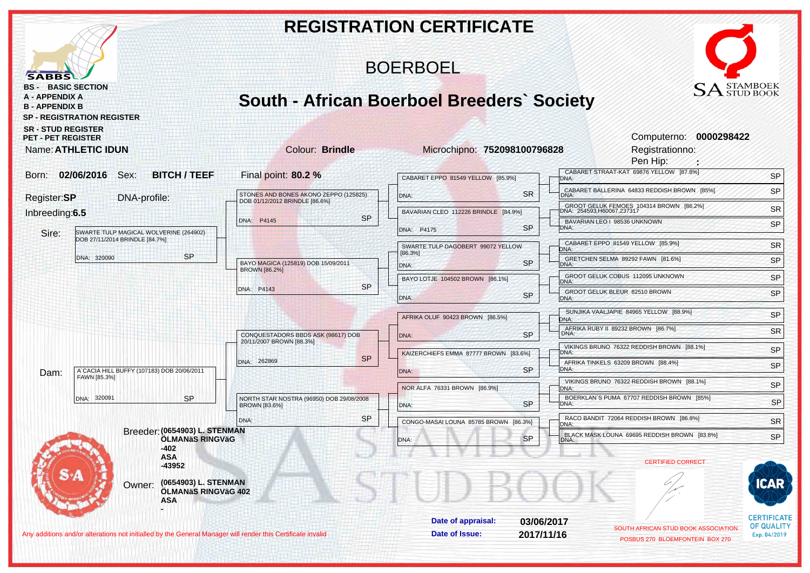|                                                                                                                                               |                                                                         |                 | <b>REGISTRATION CERTIFICATE</b>                   |            |                                                                                                 |                                         |
|-----------------------------------------------------------------------------------------------------------------------------------------------|-------------------------------------------------------------------------|-----------------|---------------------------------------------------|------------|-------------------------------------------------------------------------------------------------|-----------------------------------------|
| <b>SABBS</b>                                                                                                                                  |                                                                         | <b>BOERBOEL</b> |                                                   |            |                                                                                                 |                                         |
| <b>BS - BASIC SECTION</b><br><b>A - APPENDIX A</b><br><b>B - APPENDIX B</b><br><b>SP - REGISTRATION REGISTER</b><br><b>SR - STUD REGISTER</b> |                                                                         |                 | <b>South - African Boerboel Breeders' Society</b> |            | $\text{SA}^\text{\tiny{STAMBOEK}}_{\text{\tiny{STUD BOOK}}}$<br>Computerno: 0000298422          |                                         |
| <b>PET - PET REGISTER</b><br>Name: ATHLETIC IDUN                                                                                              | Colour: Brindle                                                         |                 | Microchipno: 752098100796828                      |            | Registrationno:<br>Pen Hip:                                                                     |                                         |
| Born: 02/06/2016 Sex:<br><b>BITCH / TEEF</b>                                                                                                  | Final point: 80.2 %                                                     |                 | CABARET EPPO 81549 YELLOW [85.9%]                 |            | CABARET STRAAT-KAT 69876 YELLOW [87.8%]<br>DNA:                                                 | SP                                      |
| Register:SP<br>DNA-profile:                                                                                                                   | STONES AND BONES AKONO ZEPPO (125825)<br>DOB 01/12/2012 BRINDLE [86.6%] |                 | DNA:                                              | <b>SR</b>  | CABARET BALLERINA 64833 REDDISH BROWN [85%]<br>DNA:                                             | SP                                      |
| Inbreeding:6.5                                                                                                                                | DNA: P4145                                                              | <b>SP</b>       | BAVARIAN CLEO 112226 BRINDLE [84.9%]              |            | GROOT GELUK FEMOES 104314 BROWN [86.2%]<br>DNA: 254593,H60067,237317                            | SR                                      |
| Sire:<br>SWARTE TULP MAGICAL WOLVERINE (264902)                                                                                               |                                                                         |                 | DNA: P4175                                        | <b>SP</b>  | BAVARIAN LEO   98536 UNKNOWN<br>DNA:                                                            | SP                                      |
| DOB 27/11/2014 BRINDLE [84.7%]<br><b>SP</b>                                                                                                   |                                                                         |                 | SWARTE TULP DAGOBERT 99072 YELLOW<br>[86.3%]      |            | CABARET EPPO 81549 YELLOW [85.9%]<br>DNA:                                                       | SR                                      |
| DNA: 320090                                                                                                                                   | BAYO MAGICA (125819) DOB 15/09/2011<br><b>BROWN [86.2%]</b>             |                 | DNA:                                              | <b>SP</b>  | GRETCHEN SELMA 89292 FAWN [81.6%]<br>DNA:                                                       | SP                                      |
|                                                                                                                                               | DNA: P4143                                                              | <b>SP</b>       | BAYO LOTJE 104502 BROWN [86.1%]                   |            | GROOT GELUK COBUS 112095 UNKNOWN<br>DNA:<br>GROOT GELUK BLEUR 82510 BROWN                       | SP                                      |
|                                                                                                                                               |                                                                         |                 | DNA:                                              | <b>SP</b>  | DNA:                                                                                            | SP                                      |
|                                                                                                                                               |                                                                         |                 | AFRIKA OLUF 90423 BROWN [86.5%]                   |            | SUNJIKA VAALJAPIE 84965 YELLOW [88.9%]<br>DNA:                                                  | SP                                      |
|                                                                                                                                               | CONQUESTADORS BBDS ASK (98617) DOB<br>20/11/2007 BROWN [88.3%]          |                 | DNA:                                              | <b>SP</b>  | AFRIKA RUBY II 89232 BROWN [86.7%]<br>DNA:                                                      | <b>SR</b>                               |
|                                                                                                                                               | DNA: 262869                                                             | <b>SP</b>       | KAIZERCHIEFS EMMA 87777 BROWN [83.6%]             |            | VIKINGS BRUNO 76322 REDDISH BROWN [88.1%]<br>DNA:<br>AFRIKA TINKELS 63209 BROWN [88.4%]         | SP                                      |
| A' CACIA HILL BUFFY (107183) DOB 20/06/2011<br>Dam:<br>FAWN [85.3%]                                                                           |                                                                         |                 | DNA:                                              | <b>SP</b>  | DNA:<br>VIKINGS BRUNO 76322 REDDISH BROWN [88.1%]                                               | SP                                      |
| <b>SP</b><br>DNA: 320091<br>Breeder: (0654903) L. STENMAN                                                                                     | NORTH STAR NOSTRA (96950) DOB 29/08/2008                                |                 | NOR ALFA 76331 BROWN [86.9%]                      |            | DNA:<br>BOERKLAN'S PUMA 67707 REDDISH BROWN [85%]                                               | SP                                      |
|                                                                                                                                               | <b>BROWN [83.6%]</b>                                                    |                 | DNA:                                              | <b>SP</b>  | DNA:                                                                                            | <b>SP</b>                               |
|                                                                                                                                               | DNA:                                                                    | <b>SP</b>       | CONGO-MASAI LOUNA 85785 BROWN [86.3%]             |            | RACO BANDIT 72064 REDDISH BROWN [86.8%]<br>DNA:<br>BLACK MASK LOUNA 69695 REDDISH BROWN [83.8%] | <b>SR</b>                               |
| ÖLMANÄS RINGVÄG<br>-402                                                                                                                       |                                                                         |                 | DNA:                                              | <b>SP</b>  |                                                                                                 | SP                                      |
| <b>ASA</b><br>$-43952$                                                                                                                        |                                                                         |                 |                                                   |            | <b>CERTIFIED CORRECT</b>                                                                        |                                         |
| (0654903) L. STENMAN<br>Owner:<br>ÖLMANäS RINGVäG 402<br><b>ASA</b>                                                                           |                                                                         |                 |                                                   |            |                                                                                                 |                                         |
|                                                                                                                                               |                                                                         |                 | Date of appraisal:                                | 03/06/2017 | SOUTH AFRICAN STUD BOOK ASSOCIATION                                                             | <b>CERTIFICATE</b><br><b>OF QUALITY</b> |
| Any additions and/or alterations not initialled by the General Manager will render this Certificate invalid                                   |                                                                         |                 | Date of Issue:                                    | 2017/11/16 | POSBUS 270 BLOEMFONTEIN BOX 270                                                                 | Exp. 04/2019                            |